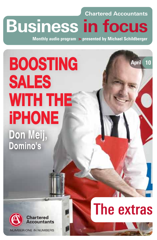## **month's essentials Business in focus Chartered Accountants**

Monthly audio program > presented by Michael Schildberger

# **BOOSTING SALES WITH THE iPHONE** Don Meij, Domino's



**NUMBER ONE IN NUMBERS** 

## The extras

April

10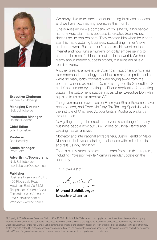

Executive Chairman Michael Schildberger

Managing Director Nick Schildberger

**Production Manager**<br>Heather Dawson

Chief Editor John Hounslow

Producer Bob Kearsley

Studio Manager Peter Letts

Advertising/Sponsorship Nick Schildberger nschildberger@be.com.au

#### Publisher

Business Essentials Pty Ltd 405 Riversdale Road, Hawthorn East Vic 3123 Telephone: 03 9882 8333 Facsimile: 03 9882 8017 Email: info@be.com.au Website: www.be.com.au

**External of the always like to tell stories of outstanding business success**<br>
each up have tup isopiting a vermion this month and we have two inspiring examples this month.

> One is Aussiebum – a company which is hardly a household name in Australia. That's because its creator, Sean Ashby, doesn't sell to retailers here. They rejected him when he tried to start his manufacturing business, specialising in men's swim and under wear. But that didn't stop him. He went on the internet and now runs a multi-million dollar empire selling to some of the most fashionable outlets in the world. We hear plenty about internet success stories, but Aussiebum is a real-life example.

> Another great example is the Domino's Pizza chain, which has also embraced technology to achieve remarkable profit results. While so many baby boomers were shying away from the communications explosion, Domino's targeted its Generations X and Y consumers by creating an iPhone application for ordering pizzas. The outcome is staggering, as Chief Executive Don Meij explains to us on this month's CD.

> The government's new rules on Employee Share Schemes have been passed, and Peter McGinty, Tax Training Specialist with the Institute of Chartered Accountants in Australia, walks us through them.

Navigating through the credit squeeze is a challenge for many business people now but Guy Barnes of Global Rental and Leasing has an answer.

Motivator and international entrepreneur, Justin Herald of Major Motivation, believes in starting businesses with limited capital and tells us why and how.

There's plenty more to enjoy – and learn from – in this program. including Professor Neville Norman's regular update on the economy.

I hope you enjoy it,

h: Lac (

Michael Schildberger Executive Chairman

© Copyright 2010 Business Essentials Pty Ltd. ABN 98 006 144 449. This CD is subject to copyright. No part thereof may be reproduced by any process without direct written permission. Business Essentials and the BE logo are registered trademarks of Business Essentials Pty Ltd. Neither Business Essentials Pty Ltd nor Michael Schildberger nor sponsors of this program accept any form of liability, be it contractual, tortious or otherwise, for the contents of this CD or for any consequences arising from its use or any reliance placed upon it. The information, opinions and advice contained in this CD are of a general nature only and may not relate to or be relevant to your particular circumstances.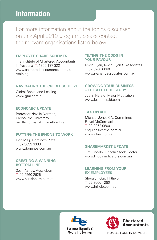#### **This Thismmoonntthh''sseesssseennttiiaallss** Information

For more information about the topics discussed on this April 2010 program, please contact the relevant organisations listed below.

#### **EMPLOYEE SHARE SCHEMES**

The Institute of Chartered Accountants in Australia T: 1300 137 322 www.charteredaccountants.com.au /training

#### **NAVIGATING THE CREDIT SQUEEZE**

Global Rental and Leasing www.gral.com.au

#### **ECONOMIC UPDATE**

Professor Neville Norman, Melbourne University neville.norman@ unimelb.edu.au

#### **PUTTING THE iPHONE TO WORK**

Don Meij, Domino's Pizza T: 07 3633 3333 www.dominos.com.au

#### **CREATING A WINNING BOTTOM LINE**

Sean Ashby, Aussiebum T: 02 9560 2626 www.aussiebum.com.au

#### **TILTING THE ODDS IN YOUR FAVOUR**

Kevin Ryan, Kevin Ryan & Associates T: 07 3260 6080 www.ryanandassociates.com.au

#### **GROWING YOUR BUSINESS – THE ATTITUDE STORY**

Justin Herald, Major Motivation www.justinherald.com

#### **TAX UPDATE**

Michael Jones CA, Cummings Flavel McCormack T: 03 9252 0800 enquiries@cfmc.com.au www.cfmc.com.au

#### **SHAREMARKET UPDATE**

Tim Lincoln, Lincoln Stock Doctor www.lincolnindicators.com.au

#### **LEARNING FROM YOUR EX-EMPLOYEES**

Sheralyn Guy, HRhelp T: 02 8006 1280 www.hrhelp.com.au





NUMBER ONE IN NUMBERS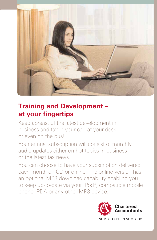

### **Training and Development – at your fingertips**

Keep abreast of the latest development in business and tax in your car, at your desk, or even on the bus!

Your annual subscription will consist of monthly audio updates either on hot topics in business or the latest tax news.

You can choose to have your subscription delivered each month on CD or online. The online version has an optional MP3 download capability enabling you to keep up-to-date via your iPod®, compatible mobile phone, PDA or any other MP3 device.

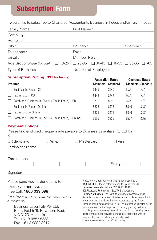### **Subscription Form**

**month's essentials** I would like to subscribe to Chartered Accountants Business in Focus and/or Tax in Focus:

| Family Name:<br>the control of the control of the control of                                                                                                                                                                                   | First Name:          |                                                                                                                                                                                                                                                                                                                                                                                                                                                                                                                                                                                                                                                                                                                                          |                                                                                                        |       |       |
|------------------------------------------------------------------------------------------------------------------------------------------------------------------------------------------------------------------------------------------------|----------------------|------------------------------------------------------------------------------------------------------------------------------------------------------------------------------------------------------------------------------------------------------------------------------------------------------------------------------------------------------------------------------------------------------------------------------------------------------------------------------------------------------------------------------------------------------------------------------------------------------------------------------------------------------------------------------------------------------------------------------------------|--------------------------------------------------------------------------------------------------------|-------|-------|
| Company:                                                                                                                                                                                                                                       |                      |                                                                                                                                                                                                                                                                                                                                                                                                                                                                                                                                                                                                                                                                                                                                          |                                                                                                        |       |       |
| Address:                                                                                                                                                                                                                                       |                      |                                                                                                                                                                                                                                                                                                                                                                                                                                                                                                                                                                                                                                                                                                                                          |                                                                                                        |       |       |
| City:                                                                                                                                                                                                                                          | Country:             |                                                                                                                                                                                                                                                                                                                                                                                                                                                                                                                                                                                                                                                                                                                                          | Postcode:                                                                                              |       |       |
| Telephone:                                                                                                                                                                                                                                     | Fax:                 |                                                                                                                                                                                                                                                                                                                                                                                                                                                                                                                                                                                                                                                                                                                                          |                                                                                                        |       |       |
| Email:                                                                                                                                                                                                                                         | Member No:           |                                                                                                                                                                                                                                                                                                                                                                                                                                                                                                                                                                                                                                                                                                                                          |                                                                                                        |       |       |
| Age Group (please tick one):<br>$\Box$ 18-25                                                                                                                                                                                                   | $\Box$ 26-35         |                                                                                                                                                                                                                                                                                                                                                                                                                                                                                                                                                                                                                                                                                                                                          | $\Box$ 36-45 $\Box$ 46-55 $\Box$ 56-65 $\Box$ >65                                                      |       |       |
| Type of Business:                                                                                                                                                                                                                              | Number of Employees: |                                                                                                                                                                                                                                                                                                                                                                                                                                                                                                                                                                                                                                                                                                                                          |                                                                                                        |       |       |
| <b>Subscription Pricing (GST Inclusive)</b><br><b>Product</b>                                                                                                                                                                                  |                      |                                                                                                                                                                                                                                                                                                                                                                                                                                                                                                                                                                                                                                                                                                                                          | <b>Australian Rates</b><br><b>Overseas Rates</b><br><b>Members</b> Standard<br><b>Members Standard</b> |       |       |
| П<br>Business In Focus - CD                                                                                                                                                                                                                    |                      | \$445                                                                                                                                                                                                                                                                                                                                                                                                                                                                                                                                                                                                                                                                                                                                    | \$545                                                                                                  | N/A   | N/A   |
| Tax In Focus - CD<br>$\Box$                                                                                                                                                                                                                    |                      | \$445                                                                                                                                                                                                                                                                                                                                                                                                                                                                                                                                                                                                                                                                                                                                    | \$545                                                                                                  | N/A   | N/A   |
| Combined (Business in Focus $+$ Tax in Focus) $-$ CD<br>$\Box$                                                                                                                                                                                 |                      | \$795                                                                                                                                                                                                                                                                                                                                                                                                                                                                                                                                                                                                                                                                                                                                    | \$995                                                                                                  | N/A   | N/A   |
| $\Box$<br>Business in Focus - Online                                                                                                                                                                                                           |                      | \$375                                                                                                                                                                                                                                                                                                                                                                                                                                                                                                                                                                                                                                                                                                                                    | \$475                                                                                                  | \$340 | \$430 |
| Tax in Focus - Online<br>$\Box$                                                                                                                                                                                                                |                      | \$375                                                                                                                                                                                                                                                                                                                                                                                                                                                                                                                                                                                                                                                                                                                                    | \$475                                                                                                  | \$340 | \$430 |
| $\Box$ Combined (Business in Focus + Tax in Focus) – Online                                                                                                                                                                                    |                      | \$635                                                                                                                                                                                                                                                                                                                                                                                                                                                                                                                                                                                                                                                                                                                                    | \$835                                                                                                  | \$577 | \$759 |
| <b>Payment Options</b><br>Please find enclosed cheque made payable to Business Essentials Pty Ltd for<br>\$<br>OR debit my:<br>$\Box$ Amex<br>Cardholder's name                                                                                | $\Box$ Mastercard    |                                                                                                                                                                                                                                                                                                                                                                                                                                                                                                                                                                                                                                                                                                                                          | $\Box$ Visa                                                                                            |       |       |
| Card number<br>Signature                                                                                                                                                                                                                       |                      |                                                                                                                                                                                                                                                                                                                                                                                                                                                                                                                                                                                                                                                                                                                                          | Expiry date                                                                                            |       |       |
| Please send your order details to:<br>Free Fax: 1800 656 351<br>Free Call: 1800 039 098<br>Free Post: send this form, (accompanied by<br>a cheque to)<br>Business Essentials Pty Ltd,<br>Reply Paid 579, Hawthorn East,<br>VIC 3123. Australia |                      | Please Note: Upon payment this notice becomes a<br><b>TAX INVOICE.</b> Please retain a copy for your records.<br>Business Essentials Pty Ltd ABN 98 006 144 449<br>405 Riversdale Rd Hawthorn East Vic 3123 Australia<br>Privacy Notification - The Institute of Chartered Accountants in<br>Australia respects the privacy of individuals and acknowledges that the<br>information you provide on this form is protected by the Privacy<br>Amendment (Private Sector Act) 2000. The information collected by the<br>Institute is used for the purpose of processing your registration and<br>providing you information (via email and/or mail) on upcoming events,<br>specific products and services provided by or associated with the |                                                                                                        |       |       |

Institute. To access a full copy of our policy visit charteredaccountants.com.au/privacypolicy

VIC 3123, Australia Tel: +61 3 9882 8333 Fax: +61 3 9882 8017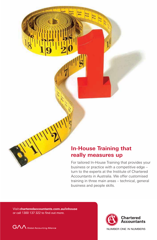#### **In-House Training that really measures up**

For tailored In-House Training that provides your business or practice with a competitive edge – turn to the experts at the Institute of Chartered Accountants in Australia. We offer customised training in three main areas – technical, general business and people skills.

Visit **charteredaccountants.com.au/inhouse**

**month's essentials**



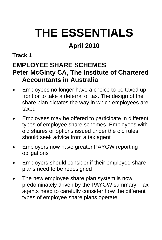## **THE ESSENTIALS**

### **April 2010**

#### **Track 1**

#### **EMPLOYEE SHARE SCHEMES Peter McGinty CA, The Institute of Chartered Accountants in Australia**

- Employees no longer have a choice to be taxed up front or to take a deferral of tax. The design of the share plan dictates the way in which employees are taxed
- Employees may be offered to participate in different types of employee share schemes. Employees with old shares or options issued under the old rules should seek advice from a tax agent
- Employers now have greater PAYGW reporting obligations
- Employers should consider if their employee share plans need to be redesigned
- The new employee share plan system is now predominately driven by the PAYGW summary. Tax agents need to carefully consider how the different types of employee share plans operate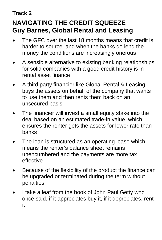### **NAVIGATING THE CREDIT SQUEEZE Guy Barnes, Global Rental and Leasing**

- The GFC over the last 18 months means that credit is harder to source, and when the banks do lend the money the conditions are increasingly onerous
- A sensible alternative to existing banking relationships for solid companies with a good credit history is in rental asset finance
- A third party financier like Global Rental & Leasing buys the assets on behalf of the company that wants to use them and then rents them back on an unsecured basis
- The financier will invest a small equity stake into the deal based on an estimated trade-in value, which ensures the renter gets the assets for lower rate than banks
- The loan is structured as an operating lease which means the renter's balance sheet remains unencumbered and the payments are more tax effective
- Because of the flexibility of the product the finance can be upgraded or terminated during the term without penalties
- I take a leaf from the book of John Paul Getty who once said, if it appreciates buy it, if it depreciates, rent it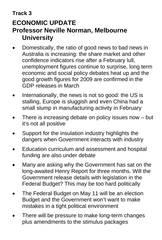### **ECONOMIC UPDATE Professor Neville Norman, Melbourne University**

- Domestically, the ratio of good news to bad news in Australia is increasing: the share market and other confidence indicators rise after a February lull, unemployment figures continue to surprise, long term economic and social policy debates heat up and the good growth figures for 2009 are confirmed in the GDP releases in March
- Internationally, the news is not so good: the US is stalling, Europe is sluggish and even China had a small slump in manufacturing activity in February
- There is increasing debate on policy issues now  $-$  but it's not all positive
- Support for the insulation industry highlights the dangers when Government interacts with industry
- Education curriculum and assessment and hospital funding are also under debate
- Many are asking why the Government has sat on the long-awaited Henry Report for three months. Will the Government release details with legislation in the Federal Budget? This may be too hard politically
- The Federal Budget on May 11 will be an election Budget and the Government won't want to make mistakes in a tight political environment
- There will be pressure to make long-term changes plus amendments to the stimulus packages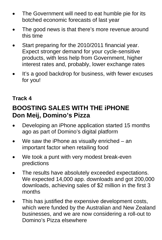- The Government will need to eat humble pie for its botched economic forecasts of last year
- The good news is that there's more revenue around this time
- Start preparing for the 2010/2011 financial year. Expect stronger demand for your cycle-sensitive products, with less help from Government, higher interest rates and, probably, lower exchange rates
- It's a good backdrop for business, with fewer excuses for you!

### **BOOSTING SALES WITH THE iPHONE Don Meij, Domino's Pizza**

- Developing an iPhone application started 15 months ago as part of Domino's digital platform
- We saw the iPhone as visually enriched  $-$  an important factor when retailing food
- We took a punt with very modest break-even predictions
- The results have absolutely exceeded expectations. We expected 14,000 app. downloads and got 200,000 downloads, achieving sales of \$2 million in the first 3 months
- This has justified the expensive development costs, which were funded by the Australian and New Zealand businesses, and we are now considering a roll-out to Domino's Pizza elsewhere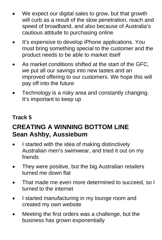- We expect our digital sales to grow, but that growth will curb as a result of the slow penetration, reach and speed of broadband, and also because of Australia's cautious attitude to purchasing online
- It's expensive to develop iPhone applications. You must bring something special to the customer and the product needs to be able to market itself
- As market conditions shifted at the start of the GFC, we put all our savings into new tastes and an improved offering to our customers. We hope this will pay off into the future
- Technology is a risky area and constantly changing. It's important to keep up

### **CREATING A WINNING BOTTOM LINE Sean Ashby, Aussiebum**

- I started with the idea of making distinctively Australian men's swimwear, and tried it out on my friends
- They were positive, but the big Australian retailers turned me down flat
- That made me even more determined to succeed, so I turned to the internet
- I started manufacturing in my lounge room and created my own website
- Meeting the first orders was a challenge, but the business has grown exponentially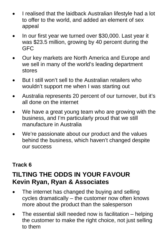- I realised that the laidback Australian lifestyle had a lot to offer to the world, and added an element of sex appeal
- In our first year we turned over \$30,000. Last year it was \$23.5 million, growing by 40 percent during the **GFC**
- Our key markets are North America and Europe and we sell in many of the world's leading department stores
- But I still won't sell to the Australian retailers who wouldn't support me when I was starting out
- Australia represents 20 percent of our turnover, but it's all done on the internet
- We have a great young team who are growing with the business, and I'm particularly proud that we still manufacture in Australia
- We're passionate about our product and the values behind the business, which haven't changed despite our success

### **TILTING THE ODDS IN YOUR FAVOUR Kevin Ryan, Ryan & Associates**

- The internet has changed the buying and selling cycles dramatically – the customer now often knows more about the product than the salesperson
- The essential skill needed now is facilitation helping the customer to make the right choice, not just selling to them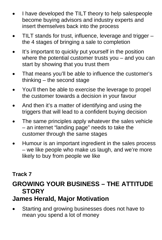- I have developed the TILT theory to help salespeople become buying advisors and industry experts and insert themselves back into the process
- TILT stands for trust, influence, leverage and trigger the 4 stages of bringing a sale to completion
- It's important to quickly put yourself in the position where the potential customer trusts you – and you can start by showing that you trust them
- That means you'll be able to influence the customer's thinking – the second stage
- You'll then be able to exercise the leverage to propel the customer towards a decision in your favour
- And then it's a matter of identifying and using the triggers that will lead to a confident buying decision
- The same principles apply whatever the sales vehicle – an internet "landing page" needs to take the customer through the same stages
- Humour is an important ingredient in the sales process – we like people who make us laugh, and we're more likely to buy from people we like

#### **GROWING YOUR BUSINESS – THE ATTITUDE STORY**

### **James Herald, Major Motivation**

Starting and growing businesses does not have to mean you spend a lot of money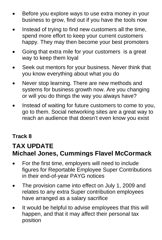- Before you explore ways to use extra money in your business to grow, find out if you have the tools now
- Instead of trying to find new customers all the time, spend more effort to keep your current customers happy. They may then become your best promoters
- Going that extra mile for your customers is a great way to keep them loyal
- Seek out mentors for your business. Never think that you know everything about what you do
- Never stop learning. There are new methods and systems for business growth now. Are you changing or will you do things the way you always have?
- Instead of waiting for future customers to come to you, go to them. Social networking sites are a great way to reach an audience that doesn't even know you exist

#### **TAX UPDATE Michael Jones, Cummings Flavel McCormack**

- For the first time, employers will need to include figures for Reportable Employee Super Contributions in their end-of-year PAYG notices
- The provision came into effect on July 1, 2009 and relates to any extra Super contribution employees have arranged as a salary sacrifice
- It would be helpful to advise employees that this will happen, and that it may affect their personal tax position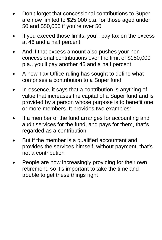- Don't forget that concessional contributions to Super are now limited to \$25,000 p.a. for those aged under 50 and \$50,000 if you're over 50
- If you exceed those limits, you'll pay tax on the excess at 46 and a half percent
- And if that excess amount also pushes your nonconcessional contributions over the limit of \$150,000 p.a., you'll pay another 46 and a half percent
- A new Tax Office ruling has sought to define what comprises a contribution to a Super fund
- In essence, it says that a contribution is anything of value that increases the capital of a Super fund and is provided by a person whose purpose is to benefit one or more members. It provides two examples:
- If a member of the fund arranges for accounting and audit services for the fund, and pays for them, that's regarded as a contribution
- But if the member is a qualified accountant and provides the services himself, without payment, that's not a contribution
- People are now increasingly providing for their own retirement, so it's important to take the time and trouble to get these things right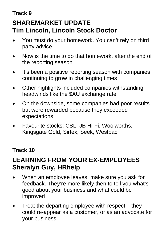### **Track 9 SHAREMARKET UPDATE Tim Lincoln, Lincoln Stock Doctor**

- You must do your homework. You can't rely on third party advice
- Now is the time to do that homework, after the end of the reporting season
- It's been a positive reporting season with companies continuing to grow in challenging times
- Other highlights included companies withstanding headwinds like the \$AU exchange rate
- On the downside, some companies had poor results but were rewarded because they exceeded expectations
- Favourite stocks: CSL, JB Hi-Fi, Woolworths, Kingsgate Gold, Sirtex, Seek, Westpac

#### **Track 10**

### **LEARNING FROM YOUR EX-EMPLOYEES Sheralyn Guy, HRhelp**

- When an employee leaves, make sure you ask for feedback. They're more likely then to tell you what's good about your business and what could be improved
- Treat the departing employee with respect  $-$  they could re-appear as a customer, or as an advocate for your business